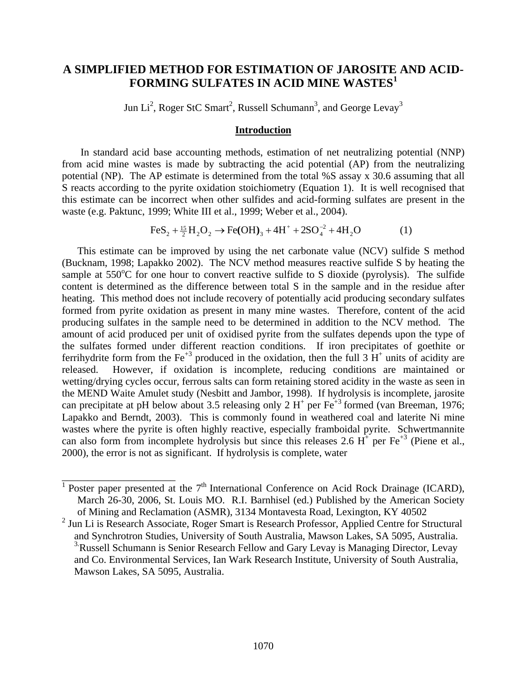# **A SIMPLIFIED METHOD FOR ESTIMATION OF JAROSITE AND ACID-FORMING SULFATES IN ACID MINE WASTES<sup>1</sup>**

Jun Li<sup>2</sup>, Roger StC Smart<sup>2</sup>, Russell Schumann<sup>3</sup>, and George Levay<sup>3</sup>

### **Introduction**

In standard acid base accounting methods, estimation of net neutralizing potential (NNP) from acid mine wastes is made by subtracting the acid potential (AP) from the neutralizing potential (NP). The AP estimate is determined from the total %S assay x 30.6 assuming that all S reacts according to the pyrite oxidation stoichiometry (Equation 1). It is well recognised that this estimate can be incorrect when other sulfides and acid-forming sulfates are present in the waste (e.g. Paktunc, 1999; White III et al., 1999; Weber et al., 2004).

$$
\text{FeS}_2 + \frac{15}{2}H_2O_2 \rightarrow \text{Fe(OH)}_3 + 4H^+ + 2SO_4^{-2} + 4H_2O \tag{1}
$$

This estimate can be improved by using the net carbonate value (NCV) sulfide S method (Bucknam, 1998; Lapakko 2002). The NCV method measures reactive sulfide S by heating the sample at  $550^{\circ}$ C for one hour to convert reactive sulfide to S dioxide (pyrolysis). The sulfide content is determined as the difference between total S in the sample and in the residue after heating. This method does not include recovery of potentially acid producing secondary sulfates formed from pyrite oxidation as present in many mine wastes. Therefore, content of the acid producing sulfates in the sample need to be determined in addition to the NCV method. The amount of acid produced per unit of oxidised pyrite from the sulfates depends upon the type of the sulfates formed under different reaction conditions. If iron precipitates of goethite or ferrihydrite form from the Fe<sup>+3</sup> produced in the oxidation, then the full 3  $H^+$  units of acidity are released. However, if oxidation is incomplete, reducing conditions are maintained or wetting/drying cycles occur, ferrous salts can form retaining stored acidity in the waste as seen in the MEND Waite Amulet study (Nesbitt and Jambor, 1998). If hydrolysis is incomplete, jarosite can precipitate at pH below about 3.5 releasing only 2  $H^+$  per Fe<sup>+3</sup> formed (van Breeman, 1976; Lapakko and Berndt, 2003). This is commonly found in weathered coal and laterite Ni mine wastes where the pyrite is often highly reactive, especially framboidal pyrite. Schwertmannite can also form from incomplete hydrolysis but since this releases 2.6  $H^+$  per Fe<sup>+3</sup> (Piene et al., 2000), the error is not as significant. If hydrolysis is complete, water

\_\_\_\_\_\_\_\_\_\_\_\_\_\_\_\_\_\_\_\_\_\_

<sup>&</sup>lt;sup>1</sup> Poster paper presented at the  $7<sup>th</sup>$  International Conference on Acid Rock Drainage (ICARD), March 26-30, 2006, St. Louis MO. R.I. Barnhisel (ed.) Published by the American Society of Mining and Reclamation (ASMR), 3134 Montavesta Road, Lexington, KY 40502

<sup>&</sup>lt;sup>2</sup> Jun Li is Research Associate, Roger Smart is Research Professor, Applied Centre for Structural and Synchrotron Studies, University of South Australia, Mawson Lakes, SA 5095, Australia. <sup>3</sup>: Russell Schumann is Senior Research Fellow and Gary Levay is Managing Director, Levay and Co. Environmental Services, Ian Wark Research Institute, University of South Australia, Mawson Lakes, SA 5095, Australia.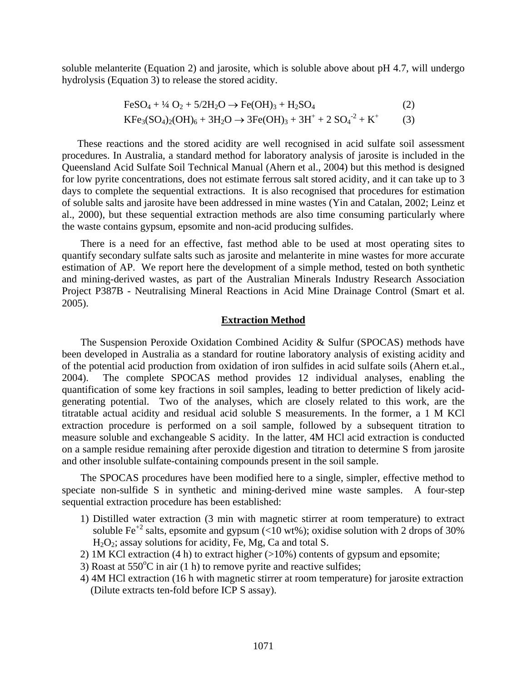soluble melanterite (Equation 2) and jarosite, which is soluble above about pH 4.7, will undergo hydrolysis (Equation 3) to release the stored acidity.

$$
\text{FeSO}_4 + \frac{1}{4} \text{O}_2 + \frac{5}{2} \text{H}_2\text{O} \rightarrow \text{Fe(OH)}_3 + \text{H}_2\text{SO}_4 \tag{2}
$$
\n
$$
\text{KFe}_3(\text{SO}_4)_2(\text{OH})_6 + 3\text{H}_2\text{O} \rightarrow 3\text{Fe(OH)}_3 + 3\text{H}^+ + 2\text{ SO}_4^{-2} + \text{K}^+ \tag{3}
$$

These reactions and the stored acidity are well recognised in acid sulfate soil assessment procedures. In Australia, a standard method for laboratory analysis of jarosite is included in the Queensland Acid Sulfate Soil Technical Manual (Ahern et al., 2004) but this method is designed for low pyrite concentrations, does not estimate ferrous salt stored acidity, and it can take up to 3 days to complete the sequential extractions. It is also recognised that procedures for estimation of soluble salts and jarosite have been addressed in mine wastes (Yin and Catalan, 2002; Leinz et al., 2000), but these sequential extraction methods are also time consuming particularly where the waste contains gypsum, epsomite and non-acid producing sulfides.

There is a need for an effective, fast method able to be used at most operating sites to quantify secondary sulfate salts such as jarosite and melanterite in mine wastes for more accurate estimation of AP. We report here the development of a simple method, tested on both synthetic and mining-derived wastes, as part of the Australian Minerals Industry Research Association Project P387B - Neutralising Mineral Reactions in Acid Mine Drainage Control (Smart et al. 2005).

#### **Extraction Method**

The Suspension Peroxide Oxidation Combined Acidity & Sulfur (SPOCAS) methods have been developed in Australia as a standard for routine laboratory analysis of existing acidity and of the potential acid production from oxidation of iron sulfides in acid sulfate soils (Ahern et.al., 2004). The complete SPOCAS method provides 12 individual analyses, enabling the quantification of some key fractions in soil samples, leading to better prediction of likely acidgenerating potential. Two of the analyses, which are closely related to this work, are the titratable actual acidity and residual acid soluble S measurements. In the former, a 1 M KCl extraction procedure is performed on a soil sample, followed by a subsequent titration to measure soluble and exchangeable S acidity. In the latter, 4M HCl acid extraction is conducted on a sample residue remaining after peroxide digestion and titration to determine S from jarosite and other insoluble sulfate-containing compounds present in the soil sample.

The SPOCAS procedures have been modified here to a single, simpler, effective method to speciate non-sulfide S in synthetic and mining-derived mine waste samples. A four-step sequential extraction procedure has been established:

- 1) Distilled water extraction (3 min with magnetic stirrer at room temperature) to extract soluble Fe<sup>+2</sup> salts, epsomite and gypsum (<10 wt%); oxidise solution with 2 drops of 30% H<sub>2</sub>O<sub>2</sub>; assay solutions for acidity, Fe, Mg, Ca and total S.
- 2) 1M KCl extraction (4 h) to extract higher (>10%) contents of gypsum and epsomite;
- 3) Roast at  $550^{\circ}$ C in air (1 h) to remove pyrite and reactive sulfides;
- 4) 4M HCl extraction (16 h with magnetic stirrer at room temperature) for jarosite extraction (Dilute extracts ten-fold before ICP S assay).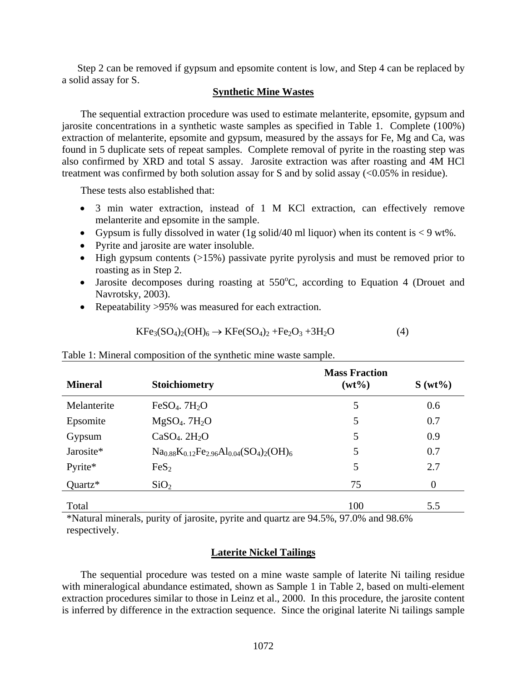Step 2 can be removed if gypsum and epsomite content is low, and Step 4 can be replaced by a solid assay for S.

### **Synthetic Mine Wastes**

The sequential extraction procedure was used to estimate melanterite, epsomite, gypsum and jarosite concentrations in a synthetic waste samples as specified in Table 1. Complete (100%) extraction of melanterite, epsomite and gypsum, measured by the assays for Fe, Mg and Ca, was found in 5 duplicate sets of repeat samples. Complete removal of pyrite in the roasting step was also confirmed by XRD and total S assay. Jarosite extraction was after roasting and 4M HCl treatment was confirmed by both solution assay for S and by solid assay (<0.05% in residue).

These tests also established that:

- 3 min water extraction, instead of 1 M KCl extraction, can effectively remove melanterite and epsomite in the sample.
- Gypsum is fully dissolved in water (1g solid/40 ml liquor) when its content is  $< 9$  wt%.
- Pyrite and jarosite are water insoluble.
- High gypsum contents  $(>15\%)$  passivate pyrite pyrolysis and must be removed prior to roasting as in Step 2.
- Jarosite decomposes during roasting at  $550^{\circ}$ C, according to Equation 4 (Drouet and Navrotsky, 2003).
- Repeatability > 95% was measured for each extraction.

$$
KFe3(SO4)2(OH)6 \rightarrow KFe(SO4)2 + Fe2O3 + 3H2O
$$
(4)

Table 1: Mineral composition of the synthetic mine waste sample.

| <b>Mineral</b> | <b>Stoichiometry</b>                 | <b>Mass Fraction</b><br>$(wt\%)$ | $S(wt\%)$ |
|----------------|--------------------------------------|----------------------------------|-----------|
| Melanterite    | $FeSO4$ . 7H <sub>2</sub> O          | 5                                | 0.6       |
| Epsomite       | $MgSO4$ . 7 $H2O$                    | 5                                | 0.7       |
| Gypsum         | $CaSO4$ . $2H2O$                     | 5                                | 0.9       |
| Jarosite*      | $Na0.88K0.12Fe2.96Al0.04(SO4)2(OH)6$ | 5                                | 0.7       |
| Pyrite*        | FeS <sub>2</sub>                     | 5                                | 2.7       |
| $Quartz*$      | SiO <sub>2</sub>                     | 75                               | $\Omega$  |
| Total          |                                      | 100                              | 5.5       |

\*Natural minerals, purity of jarosite, pyrite and quartz are 94.5%, 97.0% and 98.6% respectively.

## **Laterite Nickel Tailings**

The sequential procedure was tested on a mine waste sample of laterite Ni tailing residue with mineralogical abundance estimated, shown as Sample 1 in Table 2, based on multi-element extraction procedures similar to those in Leinz et al., 2000. In this procedure, the jarosite content is inferred by difference in the extraction sequence. Since the original laterite Ni tailings sample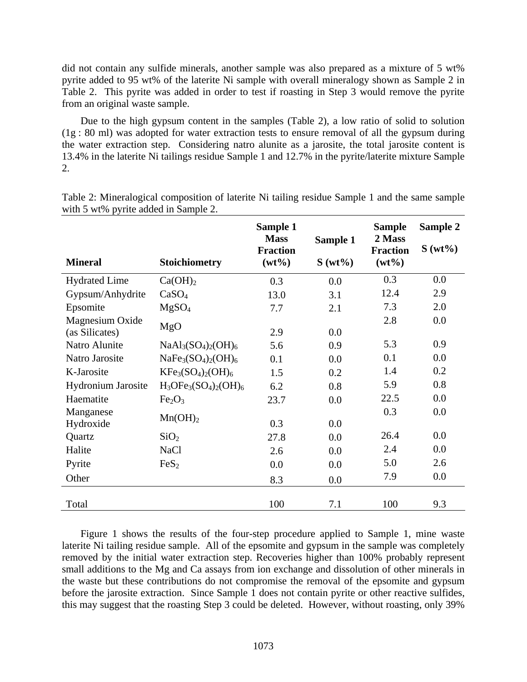did not contain any sulfide minerals, another sample was also prepared as a mixture of 5 wt% pyrite added to 95 wt% of the laterite Ni sample with overall mineralogy shown as Sample 2 in Table 2. This pyrite was added in order to test if roasting in Step 3 would remove the pyrite from an original waste sample.

Due to the high gypsum content in the samples (Table 2), a low ratio of solid to solution (1g : 80 ml) was adopted for water extraction tests to ensure removal of all the gypsum during the water extraction step. Considering natro alunite as a jarosite, the total jarosite content is 13.4% in the laterite Ni tailings residue Sample 1 and 12.7% in the pyrite/laterite mixture Sample 2.

|                                   |                                | Sample 1<br><b>Mass</b><br><b>Fraction</b> | Sample 1  | <b>Sample</b><br>2 Mass<br><b>Fraction</b> | Sample 2<br>$S(wt\%)$ |
|-----------------------------------|--------------------------------|--------------------------------------------|-----------|--------------------------------------------|-----------------------|
| <b>Mineral</b>                    | <b>Stoichiometry</b>           | $(wt\%)$                                   | $S(wt\%)$ | $(wt\%)$                                   |                       |
| <b>Hydrated Lime</b>              | Ca(OH) <sub>2</sub>            | 0.3                                        | 0.0       | 0.3                                        | 0.0                   |
| Gypsum/Anhydrite                  | CaSO <sub>4</sub>              | 13.0                                       | 3.1       | 12.4                                       | 2.9                   |
| Epsomite                          | MgSO <sub>4</sub>              | 7.7                                        | 2.1       | 7.3                                        | 2.0                   |
| Magnesium Oxide<br>(as Silicates) | MgO                            | 2.9                                        | 0.0       | 2.8                                        | 0.0                   |
| Natro Alunite                     | $NaAl3(SO4)2(OH)6$             | 5.6                                        | 0.9       | 5.3                                        | 0.9                   |
| Natro Jarosite                    | $NaFe3(SO4)2(OH)6$             | 0.1                                        | 0.0       | 0.1                                        | 0.0                   |
| K-Jarosite                        | $KFe3(SO4)2(OH)6$              | 1.5                                        | 0.2       | 1.4                                        | 0.2                   |
| <b>Hydronium Jarosite</b>         | $H_3OFe_3(SO_4)_2(OH)_6$       | 6.2                                        | 0.8       | 5.9                                        | 0.8                   |
| Haematite                         | Fe <sub>2</sub> O <sub>3</sub> | 23.7                                       | 0.0       | 22.5                                       | 0.0                   |
| Manganese<br>Hydroxide            | Mn(OH) <sub>2</sub>            | 0.3                                        | 0.0       | 0.3                                        | 0.0                   |
| Quartz                            | SiO <sub>2</sub>               | 27.8                                       | 0.0       | 26.4                                       | 0.0                   |
| Halite                            | <b>NaCl</b>                    | 2.6                                        | 0.0       | 2.4                                        | 0.0                   |
| Pyrite                            | FeS <sub>2</sub>               | 0.0                                        | 0.0       | 5.0                                        | 2.6                   |
| Other                             |                                | 8.3                                        | 0.0       | 7.9                                        | 0.0                   |
|                                   |                                |                                            |           |                                            |                       |
| Total                             |                                | 100                                        | 7.1       | 100                                        | 9.3                   |

Table 2: Mineralogical composition of laterite Ni tailing residue Sample 1 and the same sample with 5 wt% pyrite added in Sample 2.

Figure 1 shows the results of the four-step procedure applied to Sample 1, mine waste laterite Ni tailing residue sample. All of the epsomite and gypsum in the sample was completely removed by the initial water extraction step. Recoveries higher than 100% probably represent small additions to the Mg and Ca assays from ion exchange and dissolution of other minerals in the waste but these contributions do not compromise the removal of the epsomite and gypsum before the jarosite extraction. Since Sample 1 does not contain pyrite or other reactive sulfides, this may suggest that the roasting Step 3 could be deleted. However, without roasting, only 39%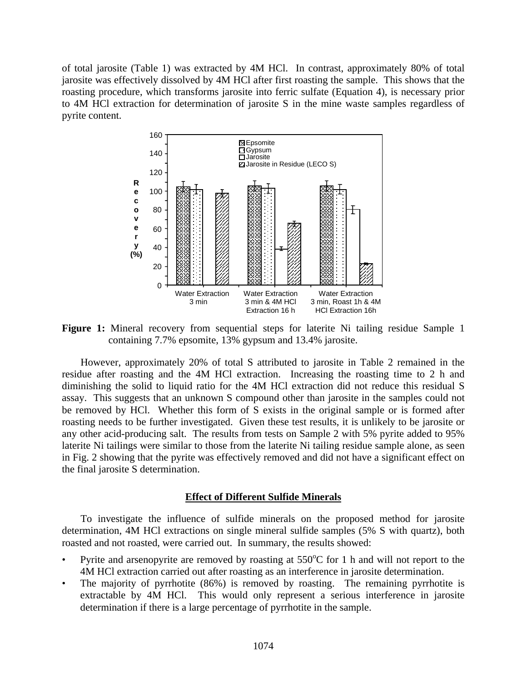of total jarosite (Table 1) was extracted by 4M HCl. In contrast, approximately 80% of total jarosite was effectively dissolved by 4M HCl after first roasting the sample. This shows that the roasting procedure, which transforms jarosite into ferric sulfate (Equation 4), is necessary prior to 4M HCl extraction for determination of jarosite S in the mine waste samples regardless of pyrite content.



**Figure 1:** Mineral recovery from sequential steps for laterite Ni tailing residue Sample 1 containing 7.7% epsomite, 13% gypsum and 13.4% jarosite.

However, approximately 20% of total S attributed to jarosite in Table 2 remained in the residue after roasting and the 4M HCl extraction. Increasing the roasting time to 2 h and diminishing the solid to liquid ratio for the 4M HCl extraction did not reduce this residual S assay. This suggests that an unknown S compound other than jarosite in the samples could not be removed by HCl. Whether this form of S exists in the original sample or is formed after roasting needs to be further investigated. Given these test results, it is unlikely to be jarosite or any other acid-producing salt. The results from tests on Sample 2 with 5% pyrite added to 95% laterite Ni tailings were similar to those from the laterite Ni tailing residue sample alone, as seen in Fig. 2 showing that the pyrite was effectively removed and did not have a significant effect on the final jarosite S determination.

### **Effect of Different Sulfide Minerals**

To investigate the influence of sulfide minerals on the proposed method for jarosite determination, 4M HCl extractions on single mineral sulfide samples (5% S with quartz), both roasted and not roasted, were carried out. In summary, the results showed:

- Pyrite and arsenopyrite are removed by roasting at  $550^{\circ}$ C for 1 h and will not report to the 4M HCl extraction carried out after roasting as an interference in jarosite determination.
- The majority of pyrrhotite (86%) is removed by roasting. The remaining pyrrhotite is extractable by 4M HCl. This would only represent a serious interference in jarosite determination if there is a large percentage of pyrrhotite in the sample.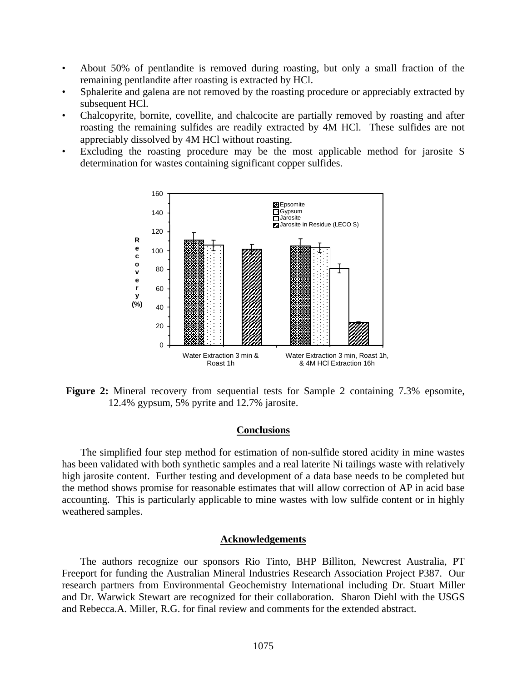- About 50% of pentlandite is removed during roasting, but only a small fraction of the remaining pentlandite after roasting is extracted by HCl.
- Sphalerite and galena are not removed by the roasting procedure or appreciably extracted by subsequent HCl.
- Chalcopyrite, bornite, covellite, and chalcocite are partially removed by roasting and after roasting the remaining sulfides are readily extracted by 4M HCl. These sulfides are not appreciably dissolved by 4M HCl without roasting.
- Excluding the roasting procedure may be the most applicable method for jarosite S determination for wastes containing significant copper sulfides.



**Figure 2:** Mineral recovery from sequential tests for Sample 2 containing 7.3% epsomite, 12.4% gypsum, 5% pyrite and 12.7% jarosite.

### **Conclusions**

The simplified four step method for estimation of non-sulfide stored acidity in mine wastes has been validated with both synthetic samples and a real laterite Ni tailings waste with relatively high jarosite content. Further testing and development of a data base needs to be completed but the method shows promise for reasonable estimates that will allow correction of AP in acid base accounting. This is particularly applicable to mine wastes with low sulfide content or in highly weathered samples.

### **Acknowledgements**

The authors recognize our sponsors Rio Tinto, BHP Billiton, Newcrest Australia, PT Freeport for funding the Australian Mineral Industries Research Association Project P387. Our research partners from Environmental Geochemistry International including Dr. Stuart Miller and Dr. Warwick Stewart are recognized for their collaboration. Sharon Diehl with the USGS and Rebecca.A. Miller, R.G. for final review and comments for the extended abstract.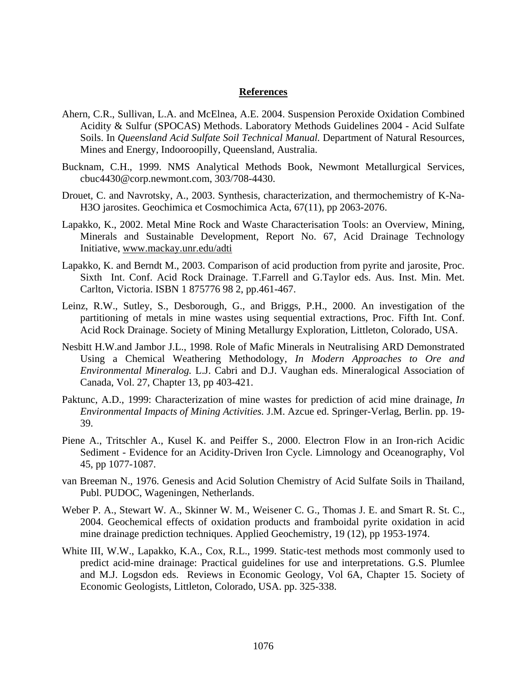### **References**

- Ahern, C.R., Sullivan, L.A. and McElnea, A.E. 2004. Suspension Peroxide Oxidation Combined Acidity & Sulfur (SPOCAS) Methods. Laboratory Methods Guidelines 2004 - Acid Sulfate Soils. In *Queensland Acid Sulfate Soil Technical Manual.* Department of Natural Resources, Mines and Energy, Indooroopilly, Queensland, Australia.
- Bucknam, C.H., 1999. NMS Analytical Methods Book, Newmont Metallurgical Services, cbuc4430@corp.newmont.com, 303/708-4430.
- Drouet, C. and Navrotsky, A., 2003. Synthesis, characterization, and thermochemistry of K-Na-H3O jarosites. Geochimica et Cosmochimica Acta, 67(11), pp 2063-2076.
- Lapakko, K., 2002. Metal Mine Rock and Waste Characterisation Tools: an Overview, Mining, Minerals and Sustainable Development, Report No. 67, Acid Drainage Technology Initiative, [www.mackay.unr.edu/adti](http://www.mackay.unr.edu/adti)
- Lapakko, K. and Berndt M., 2003. Comparison of acid production from pyrite and jarosite, Proc. Sixth Int. Conf. Acid Rock Drainage. T.Farrell and G.Taylor eds. Aus. Inst. Min. Met. Carlton, Victoria. ISBN 1 875776 98 2, pp.461-467.
- Leinz, R.W., Sutley, S., Desborough, G., and Briggs, P.H., 2000. An investigation of the partitioning of metals in mine wastes using sequential extractions, Proc. Fifth Int. Conf. Acid Rock Drainage. Society of Mining Metallurgy Exploration, Littleton, Colorado, USA.
- Nesbitt H.W.and Jambor J.L., 1998. Role of Mafic Minerals in Neutralising ARD Demonstrated Using a Chemical Weathering Methodology, *In Modern Approaches to Ore and Environmental Mineralog.* L.J. Cabri and D.J. Vaughan eds. Mineralogical Association of Canada, Vol. 27, Chapter 13, pp 403-421.
- Paktunc, A.D., 1999: Characterization of mine wastes for prediction of acid mine drainage, *In Environmental Impacts of Mining Activities.* J.M. Azcue ed. Springer-Verlag, Berlin. pp. 19- 39.
- Piene A., Tritschler A., Kusel K. and Peiffer S., 2000. Electron Flow in an Iron-rich Acidic Sediment - Evidence for an Acidity-Driven Iron Cycle. Limnology and Oceanography, Vol 45, pp 1077-1087.
- van Breeman N., 1976. Genesis and Acid Solution Chemistry of Acid Sulfate Soils in Thailand, Publ. PUDOC, Wageningen, Netherlands.
- Weber P. A., Stewart W. A., Skinner W. M., Weisener C. G., Thomas J. E. and Smart R. St. C., 2004. Geochemical effects of oxidation products and framboidal pyrite oxidation in acid mine drainage prediction techniques. Applied Geochemistry, 19 (12), pp 1953-1974.
- White III, W.W., Lapakko, K.A., Cox, R.L., 1999. Static-test methods most commonly used to predict acid-mine drainage: Practical guidelines for use and interpretations. G.S. Plumlee and M.J. Logsdon eds. Reviews in Economic Geology, Vol 6A, Chapter 15. Society of Economic Geologists, Littleton, Colorado, USA. pp. 325-338.